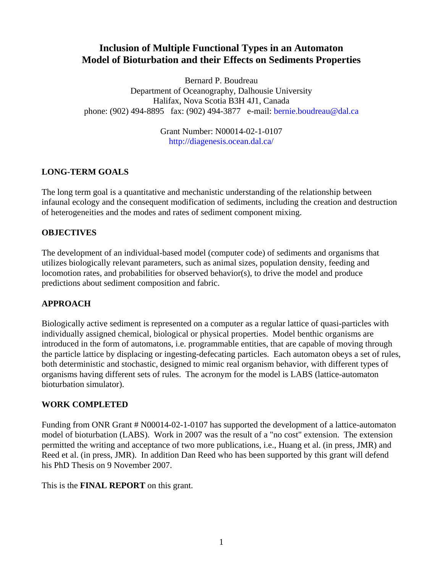# **Inclusion of Multiple Functional Types in an Automaton Model of Bioturbation and their Effects on Sediments Properties**

Bernard P. Boudreau Department of Oceanography, Dalhousie University Halifax, Nova Scotia B3H 4J1, Canada phone: (902) 494-8895 fax: (902) 494-3877 e-mail: [bernie.boudreau@dal.ca](mailto:bernie.boudreau@dal.ca) 

> Grant Number: N00014-02-1-0107 <http://diagenesis.ocean.dal.ca/>

## **LONG-TERM GOALS**

The long term goal is a quantitative and mechanistic understanding of the relationship between infaunal ecology and the consequent modification of sediments, including the creation and destruction of heterogeneities and the modes and rates of sediment component mixing.

## **OBJECTIVES**

The development of an individual-based model (computer code) of sediments and organisms that utilizes biologically relevant parameters, such as animal sizes, population density, feeding and locomotion rates, and probabilities for observed behavior(s), to drive the model and produce predictions about sediment composition and fabric.

## **APPROACH**

Biologically active sediment is represented on a computer as a regular lattice of quasi-particles with individually assigned chemical, biological or physical properties. Model benthic organisms are introduced in the form of automatons, i.e. programmable entities, that are capable of moving through the particle lattice by displacing or ingesting-defecating particles. Each automaton obeys a set of rules, both deterministic and stochastic, designed to mimic real organism behavior, with different types of organisms having different sets of rules. The acronym for the model is LABS (lattice-automaton bioturbation simulator).

## **WORK COMPLETED**

Funding from ONR Grant # N00014-02-1-0107 has supported the development of a lattice-automaton model of bioturbation (LABS). Work in 2007 was the result of a "no cost" extension. The extension permitted the writing and acceptance of two more publications, i.e., Huang et al. (in press, JMR) and Reed et al. (in press, JMR). In addition Dan Reed who has been supported by this grant will defend his PhD Thesis on 9 November 2007.

This is the **FINAL REPORT** on this grant.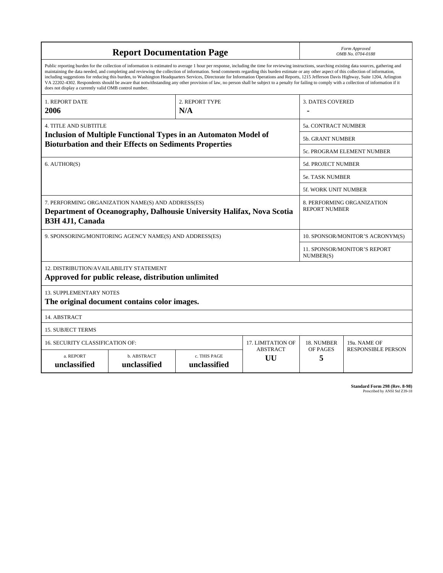| <b>Report Documentation Page</b>                                                                                                                                                                                                                                                                                                                                                                                                                                                                                                                                                                                                                                                                                                                                                                                                                                   |                             |                              |                       | Form Approved<br>OMB No. 0704-0188                 |                           |
|--------------------------------------------------------------------------------------------------------------------------------------------------------------------------------------------------------------------------------------------------------------------------------------------------------------------------------------------------------------------------------------------------------------------------------------------------------------------------------------------------------------------------------------------------------------------------------------------------------------------------------------------------------------------------------------------------------------------------------------------------------------------------------------------------------------------------------------------------------------------|-----------------------------|------------------------------|-----------------------|----------------------------------------------------|---------------------------|
| Public reporting burden for the collection of information is estimated to average 1 hour per response, including the time for reviewing instructions, searching existing data sources, gathering and<br>maintaining the data needed, and completing and reviewing the collection of information. Send comments regarding this burden estimate or any other aspect of this collection of information,<br>including suggestions for reducing this burden, to Washington Headquarters Services, Directorate for Information Operations and Reports, 1215 Jefferson Davis Highway, Suite 1204, Arlington<br>VA 22202-4302. Respondents should be aware that notwithstanding any other provision of law, no person shall be subject to a penalty for failing to comply with a collection of information if it<br>does not display a currently valid OMB control number. |                             |                              |                       |                                                    |                           |
| 1. REPORT DATE<br>2006                                                                                                                                                                                                                                                                                                                                                                                                                                                                                                                                                                                                                                                                                                                                                                                                                                             |                             | 2. REPORT TYPE<br>N/A        |                       | <b>3. DATES COVERED</b>                            |                           |
| <b>4. TITLE AND SUBTITLE</b>                                                                                                                                                                                                                                                                                                                                                                                                                                                                                                                                                                                                                                                                                                                                                                                                                                       |                             |                              |                       | 5a. CONTRACT NUMBER                                |                           |
| <b>Inclusion of Multiple Functional Types in an Automaton Model of</b><br><b>Bioturbation and their Effects on Sediments Properties</b>                                                                                                                                                                                                                                                                                                                                                                                                                                                                                                                                                                                                                                                                                                                            |                             |                              |                       | <b>5b. GRANT NUMBER</b>                            |                           |
|                                                                                                                                                                                                                                                                                                                                                                                                                                                                                                                                                                                                                                                                                                                                                                                                                                                                    |                             |                              |                       | <b>5c. PROGRAM ELEMENT NUMBER</b>                  |                           |
| 6. AUTHOR(S)                                                                                                                                                                                                                                                                                                                                                                                                                                                                                                                                                                                                                                                                                                                                                                                                                                                       |                             |                              |                       | 5d. PROJECT NUMBER                                 |                           |
|                                                                                                                                                                                                                                                                                                                                                                                                                                                                                                                                                                                                                                                                                                                                                                                                                                                                    |                             |                              |                       | 5e. TASK NUMBER                                    |                           |
|                                                                                                                                                                                                                                                                                                                                                                                                                                                                                                                                                                                                                                                                                                                                                                                                                                                                    |                             |                              |                       | <b>5f. WORK UNIT NUMBER</b>                        |                           |
| 7. PERFORMING ORGANIZATION NAME(S) AND ADDRESS(ES)<br>Department of Oceanography, Dalhousie University Halifax, Nova Scotia<br>B3H 4J1, Canada                                                                                                                                                                                                                                                                                                                                                                                                                                                                                                                                                                                                                                                                                                                     |                             |                              |                       | 8. PERFORMING ORGANIZATION<br><b>REPORT NUMBER</b> |                           |
| 9. SPONSORING/MONITORING AGENCY NAME(S) AND ADDRESS(ES)                                                                                                                                                                                                                                                                                                                                                                                                                                                                                                                                                                                                                                                                                                                                                                                                            |                             |                              |                       | 10. SPONSOR/MONITOR'S ACRONYM(S)                   |                           |
|                                                                                                                                                                                                                                                                                                                                                                                                                                                                                                                                                                                                                                                                                                                                                                                                                                                                    |                             |                              |                       | 11. SPONSOR/MONITOR'S REPORT<br>NUMBER(S)          |                           |
| 12. DISTRIBUTION/AVAILABILITY STATEMENT<br>Approved for public release, distribution unlimited                                                                                                                                                                                                                                                                                                                                                                                                                                                                                                                                                                                                                                                                                                                                                                     |                             |                              |                       |                                                    |                           |
| <b>13. SUPPLEMENTARY NOTES</b><br>The original document contains color images.                                                                                                                                                                                                                                                                                                                                                                                                                                                                                                                                                                                                                                                                                                                                                                                     |                             |                              |                       |                                                    |                           |
| 14. ABSTRACT                                                                                                                                                                                                                                                                                                                                                                                                                                                                                                                                                                                                                                                                                                                                                                                                                                                       |                             |                              |                       |                                                    |                           |
| <b>15. SUBJECT TERMS</b>                                                                                                                                                                                                                                                                                                                                                                                                                                                                                                                                                                                                                                                                                                                                                                                                                                           |                             |                              |                       |                                                    |                           |
| 16. SECURITY CLASSIFICATION OF:<br>17. LIMITATION OF                                                                                                                                                                                                                                                                                                                                                                                                                                                                                                                                                                                                                                                                                                                                                                                                               |                             |                              |                       | 18. NUMBER                                         | 19a. NAME OF              |
| a. REPORT<br>unclassified                                                                                                                                                                                                                                                                                                                                                                                                                                                                                                                                                                                                                                                                                                                                                                                                                                          | b. ABSTRACT<br>unclassified | c. THIS PAGE<br>unclassified | <b>ABSTRACT</b><br>UU | OF PAGES<br>5                                      | <b>RESPONSIBLE PERSON</b> |

**Standard Form 298 (Rev. 8-98)**<br>Prescribed by ANSI Std Z39-18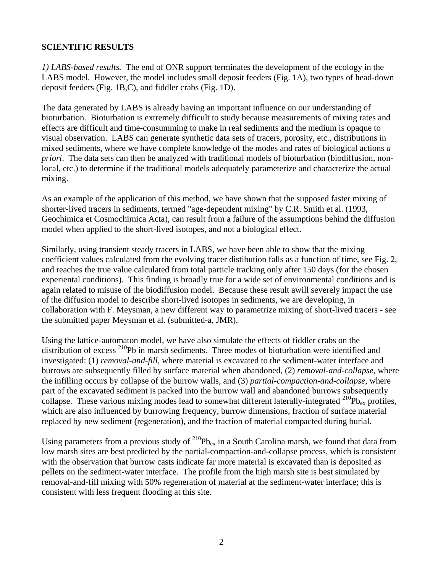#### **SCIENTIFIC RESULTS**

*1) LABS-based results.* The end of ONR support terminates the development of the ecology in the LABS model. However, the model includes small deposit feeders (Fig. 1A), two types of head-down deposit feeders (Fig. 1B,C), and fiddler crabs (Fig. 1D).

The data generated by LABS is already having an important influence on our understanding of bioturbation. Bioturbation is extremely difficult to study because measurements of mixing rates and effects are difficult and time-consumming to make in real sediments and the medium is opaque to visual observation. LABS can generate synthetic data sets of tracers, porosity, etc., distributions in mixed sediments, where we have complete knowledge of the modes and rates of biological actions *a priori*. The data sets can then be analyzed with traditional models of bioturbation (biodiffusion, nonlocal, etc.) to determine if the traditional models adequately parameterize and characterize the actual mixing.

As an example of the application of this method, we have shown that the supposed faster mixing of shorter-lived tracers in sediments, termed "age-dependent mixing" by C.R. Smith et al. (1993, Geochimica et Cosmochimica Acta), can result from a failure of the assumptions behind the diffusion model when applied to the short-lived isotopes, and not a biological effect.

Similarly, using transient steady tracers in LABS, we have been able to show that the mixing coefficient values calculated from the evolving tracer distibution falls as a function of time, see Fig. 2, and reaches the true value calculated from total particle tracking only after 150 days (for the chosen experiental conditions). This finding is broadly true for a wide set of environmental conditions and is again related to misuse of the biodiffusion model. Because these result awill severely impact the use of the diffusion model to describe short-lived isotopes in sediments, we are developing, in collaboration with F. Meysman, a new different way to parametrize mixing of short-lived tracers - see the submitted paper Meysman et al. (submitted-a, JMR).

Using the lattice-automaton model, we have also simulate the effects of fiddler crabs on the distribution of excess <sup>210</sup>Pb in marsh sediments. Three modes of bioturbation were identified and investigated: (1) *removal-and-fill*, where material is excavated to the sediment-water interface and burrows are subsequently filled by surface material when abandoned, (2) *removal-and-collapse*, where the infilling occurs by collapse of the burrow walls, and (3) *partial-compaction-and-collapse*, where part of the excavated sediment is packed into the burrow wall and abandoned burrows subsequently collapse. These various mixing modes lead to somewhat different laterally-integrated  $^{210}Pb_{ex}$  profiles, which are also influenced by burrowing frequency, burrow dimensions, fraction of surface material replaced by new sediment (regeneration), and the fraction of material compacted during burial.

Using parameters from a previous study of  $^{210}Pb_{ex}$  in a South Carolina marsh, we found that data from low marsh sites are best predicted by the partial-compaction-and-collapse process, which is consistent with the observation that burrow casts indicate far more material is excavated than is deposited as pellets on the sediment-water interface. The profile from the high marsh site is best simulated by removal-and-fill mixing with 50% regeneration of material at the sediment-water interface; this is consistent with less frequent flooding at this site.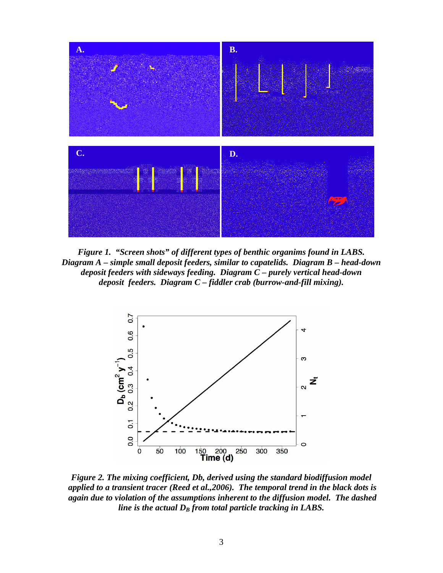

*Figure 1. "Screen shots" of different types of benthic organims found in LABS. Diagram A – simple small deposit feeders, similar to capatelids. Diagram B – head-down deposit feeders with sideways feeding. Diagram C – purely vertical head-down deposit feeders. Diagram C – fiddler crab (burrow-and-fill mixing).* 



*Figure 2. The mixing coefficient, Db, derived using the standard biodiffusion model applied to a transient tracer (Reed et al.,2006). The temporal trend in the black dots is again due to violation of the assumptions inherent to the diffusion model. The dashed line is the actual*  $D_B$  *from total particle tracking in LABS.*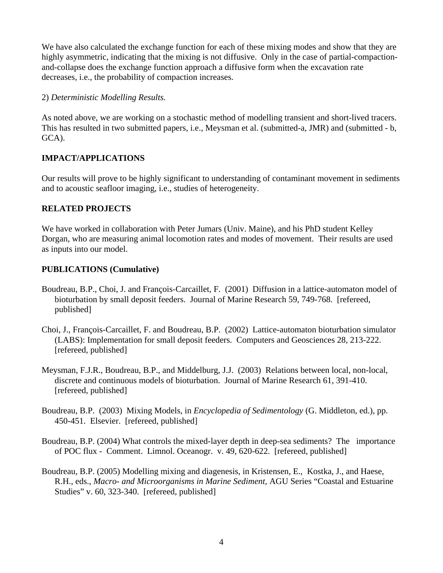We have also calculated the exchange function for each of these mixing modes and show that they are highly asymmetric, indicating that the mixing is not diffusive. Only in the case of partial-compactionand-collapse does the exchange function approach a diffusive form when the excavation rate decreases, i.e., the probability of compaction increases.

### 2) *Deterministic Modelling Results.*

As noted above, we are working on a stochastic method of modelling transient and short-lived tracers. This has resulted in two submitted papers, i.e., Meysman et al. (submitted-a, JMR) and (submitted - b, GCA).

## **IMPACT/APPLICATIONS**

Our results will prove to be highly significant to understanding of contaminant movement in sediments and to acoustic seafloor imaging, i.e., studies of heterogeneity.

## **RELATED PROJECTS**

We have worked in collaboration with Peter Jumars (Univ. Maine), and his PhD student Kelley Dorgan, who are measuring animal locomotion rates and modes of movement. Their results are used as inputs into our model.

## **PUBLICATIONS (Cumulative)**

- Boudreau, B.P., Choi, J. and François-Carcaillet, F. (2001) Diffusion in a lattice-automaton model of bioturbation by small deposit feeders. Journal of Marine Research 59, 749-768. [refereed, published]
- Choi, J., François-Carcaillet, F. and Boudreau, B.P. (2002) Lattice-automaton bioturbation simulator (LABS): Implementation for small deposit feeders. Computers and Geosciences 28, 213-222. [refereed, published]
- Meysman, F.J.R., Boudreau, B.P., and Middelburg, J.J. (2003) Relations between local, non-local, discrete and continuous models of bioturbation. Journal of Marine Research 61, 391-410. [refereed, published]
- Boudreau, B.P. (2003) Mixing Models, in *Encyclopedia of Sedimentology* (G. Middleton, ed.), pp. 450-451. Elsevier. [refereed, published]
- Boudreau, B.P. (2004) What controls the mixed-layer depth in deep-sea sediments? The importance of POC flux - Comment. Limnol. Oceanogr. v. 49, 620-622. [refereed, published]
- Boudreau, B.P. (2005) Modelling mixing and diagenesis, in Kristensen, E., Kostka, J., and Haese, R.H., eds., *Macro- and Microorganisms in Marine Sediment*, AGU Series "Coastal and Estuarine Studies" v. 60, 323-340. [refereed, published]